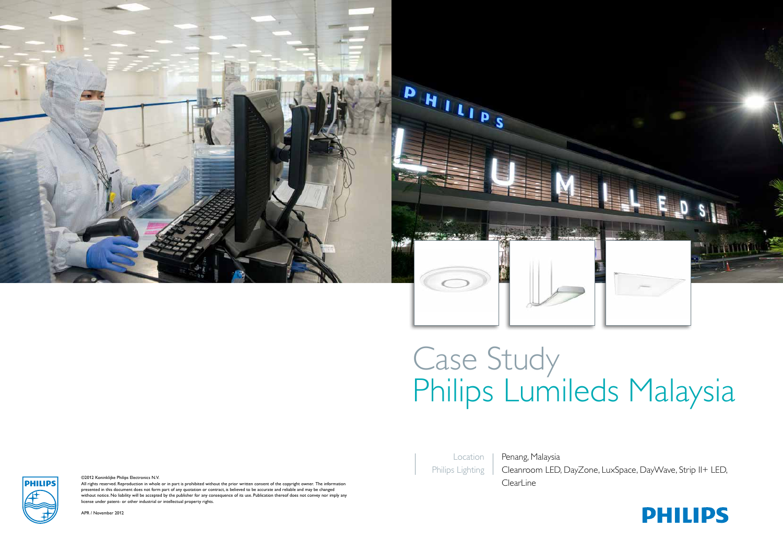

# Case Study Philips Lumileds Malaysia

Location Philips Lighting

Penang, Malaysia Cleanroom LED, DayZone, LuxSpace, DayWave, Strip II+ LED,

©2012 Koninklijke Philips Electronics N.V.<br>All rights reserved. Reproduction in whole or in part is prohibited without the prior written consent of the copyright owner. The information presented in this document does not form part of any quotation or contract, is believed to be accurate and reliable and may be changed without notice. No liability will be accepted by the publisher for any consequence of its use. Publication thereof does not convey nor imply any license under patent- or other industrial or intellectual property rights.

APR / November 2012

**PHILIPS**